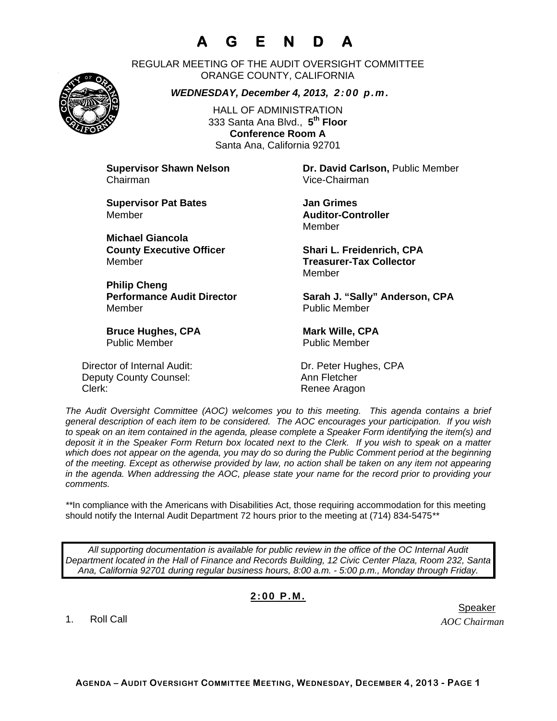## **A G E N D A**

REGULAR MEETING OF THE AUDIT OVERSIGHT COMMITTEE ORANGE COUNTY, CALIFORNIA

*WEDNESDAY, December 4, 2013, 2:00 p.m.*

HALL OF ADMINISTRATION 333 Santa Ana Blvd., **5th Floor Conference Room A**  Santa Ana, California 92701

Chairman Vice-Chairman

**Supervisor Pat Bates**  Jan Grimes Member **Auditor-Controller** 

**Michael Giancola** Member **Treasurer-Tax Collector** 

**Philip Cheng**  Member Public Member

**Bruce Hughes, CPA** Mark Wille, CPA Public Member Public Member

Director of Internal Audit: Dr. Peter Hughes, CPA Deputy County Counsel: Ann Fletcher Clerk: Clerk: Clerk: Clerk: Renee Aragon

**Supervisor Shawn Nelson Dr. David Carlson,** Public Member

Member

**County Executive Officer Shari L. Freidenrich, CPA** Member

Performance Audit Director **Sarah J. "Sally" Anderson, CPA** 

*The Audit Oversight Committee (AOC) welcomes you to this meeting. This agenda contains a brief general description of each item to be considered. The AOC encourages your participation. If you wish to speak on an item contained in the agenda, please complete a Speaker Form identifying the item(s) and deposit it in the Speaker Form Return box located next to the Clerk. If you wish to speak on a matter which does not appear on the agenda, you may do so during the Public Comment period at the beginning of the meeting. Except as otherwise provided by law, no action shall be taken on any item not appearing in the agenda. When addressing the AOC, please state your name for the record prior to providing your comments.* 

*\*\**In compliance with the Americans with Disabilities Act, those requiring accommodation for this meeting should notify the Internal Audit Department 72 hours prior to the meeting at (714) 834-5475*\*\** 

*All supporting documentation is available for public review in the office of the OC Internal Audit Department located in the Hall of Finance and Records Building, 12 Civic Center Plaza, Room 232, Santa Ana, California 92701 during regular business hours, 8:00 a.m. - 5:00 p.m., Monday through Friday.* 

## **2:00 P.M.**

1. Roll Call

er in de staat de staat de bestiet in de staat de staat de staat de Speaker en de Speaker in de Speaker en de

*AOC Chairman*